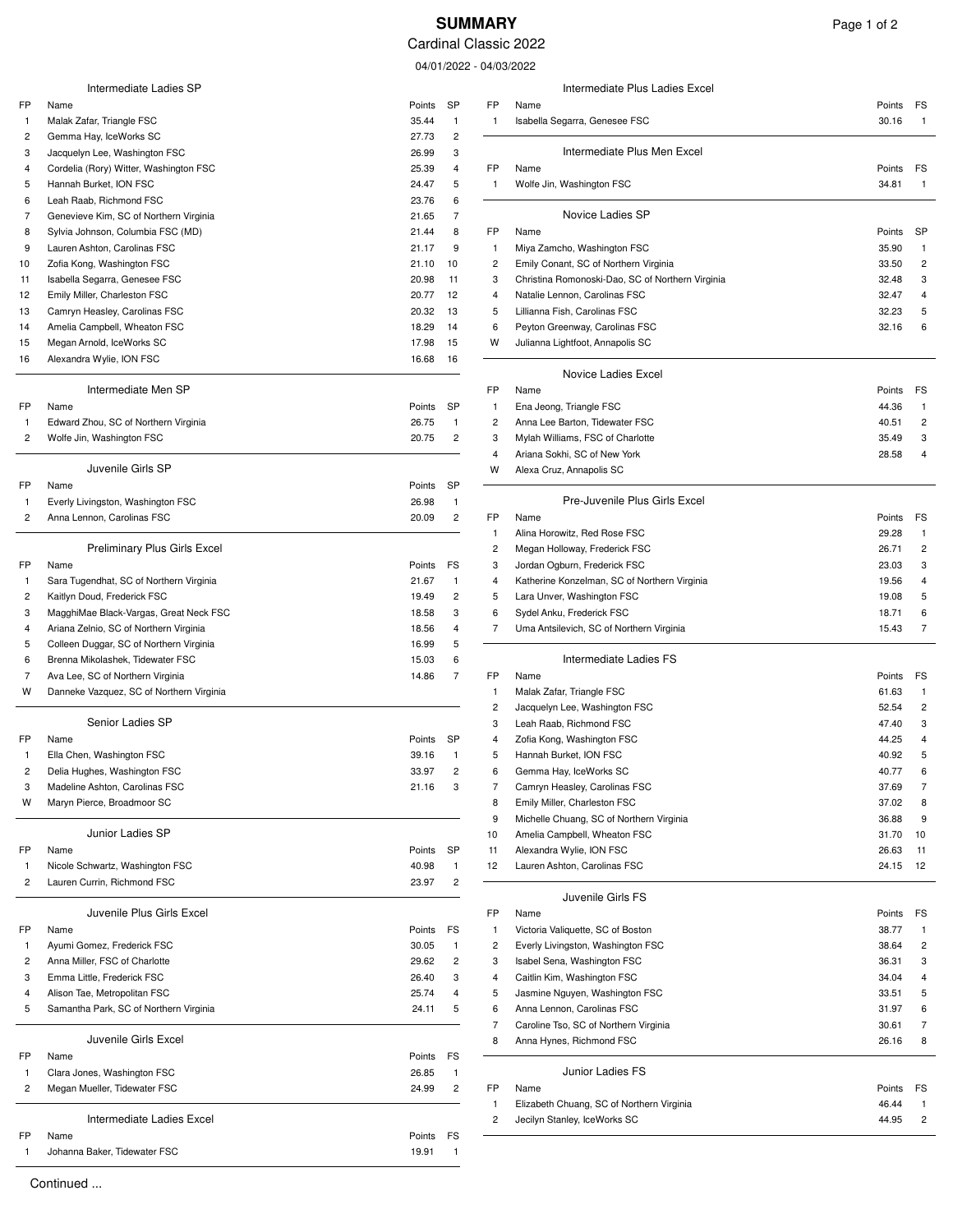## **SUMMARY** Page 1 of 2

Cardinal Classic 2022

04/01/2022 - 04/03

|                         | Intermediate Ladies SP                   |                 |                         |              | Intermediate Plus Ladies Excel                   |        |                |
|-------------------------|------------------------------------------|-----------------|-------------------------|--------------|--------------------------------------------------|--------|----------------|
| FP                      | Name                                     | Points          | <b>SP</b>               | FP           | Name                                             | Points | FS             |
| -1                      | Malak Zafar, Triangle FSC                | 35.44           | 1                       | $\mathbf{1}$ | Isabella Segarra, Genesee FSC                    | 30.16  |                |
| 2                       | Gemma Hay, IceWorks SC                   | 27.73           | $\overline{\mathbf{c}}$ |              |                                                  |        |                |
| 3                       | Jacquelyn Lee, Washington FSC            | 26.99           | 3                       |              | Intermediate Plus Men Excel                      |        |                |
| 4                       | Cordelia (Rory) Witter, Washington FSC   | 25.39           | 4                       | FP           | Name                                             | Points | FS             |
| 5                       | Hannah Burket, ION FSC                   | 24.47           | 5                       | $\mathbf{1}$ | Wolfe Jin, Washington FSC                        | 34.81  | 1              |
| 6                       | Leah Raab, Richmond FSC                  | 23.76           | 6                       |              |                                                  |        |                |
| 7                       | Genevieve Kim, SC of Northern Virginia   | 21.65           | 7                       |              | Novice Ladies SP                                 |        |                |
| 8                       | Sylvia Johnson, Columbia FSC (MD)        | 21.44           | 8                       | FP           | Name                                             | Points | <b>SP</b>      |
| 9                       | Lauren Ashton, Carolinas FSC             | 21.17           | 9                       | $\mathbf{1}$ | Miya Zamcho, Washington FSC                      | 35.90  |                |
| 10                      | Zofia Kong, Washington FSC               | 21.10           | 10                      | 2            | Emily Conant, SC of Northern Virginia            | 33.50  | $\overline{c}$ |
| 11                      | Isabella Segarra, Genesee FSC            | 20.98           | 11                      | 3            | Christina Romonoski-Dao, SC of Northern Virginia | 32.48  | 3              |
| 12                      | Emily Miller, Charleston FSC             | 20.77           | 12                      | 4            | Natalie Lennon, Carolinas FSC                    | 32.47  | 4              |
| 13                      | Camryn Heasley, Carolinas FSC            | 20.32           | 13                      | 5            | Lillianna Fish, Carolinas FSC                    | 32.23  | 5              |
| 14                      | Amelia Campbell, Wheaton FSC             | 18.29           | 14                      | 6            | Peyton Greenway, Carolinas FSC                   | 32.16  | 6              |
| 15                      | Megan Arnold, IceWorks SC                | 17.98           | 15                      | W            | Julianna Lightfoot, Annapolis SC                 |        |                |
| 16                      | Alexandra Wylie, ION FSC                 | 16.68           | 16                      |              |                                                  |        |                |
|                         |                                          |                 |                         |              | <b>Novice Ladies Excel</b>                       |        |                |
|                         | Intermediate Men SP                      |                 |                         | FP           | Name                                             | Points | FS             |
| FP                      | Name                                     | Points          | <b>SP</b>               | $\mathbf{1}$ | Ena Jeong, Triangle FSC                          | 44.36  | $\mathbf{1}$   |
| -1                      | Edward Zhou, SC of Northern Virginia     | 26.75           | 1                       | 2            | Anna Lee Barton, Tidewater FSC                   | 40.51  | $\overline{c}$ |
| $\overline{\mathbf{c}}$ | Wolfe Jin, Washington FSC                | 20.75           | $\overline{\mathbf{c}}$ | 3            | Mylah Williams, FSC of Charlotte                 | 35.49  | 3              |
|                         |                                          |                 |                         | 4            | Ariana Sokhi, SC of New York                     | 28.58  | 4              |
|                         | Juvenile Girls SP                        |                 |                         | W            | Alexa Cruz, Annapolis SC                         |        |                |
| FP                      | Name                                     | Points          | <b>SP</b>               |              |                                                  |        |                |
| -1                      | Everly Livingston, Washington FSC        | 26.98           | 1                       |              | Pre-Juvenile Plus Girls Excel                    |        |                |
| 2                       | Anna Lennon, Carolinas FSC               | 20.09           | $\overline{\mathbf{c}}$ | FP           | Name                                             | Points | FS             |
|                         |                                          |                 |                         | 1            | Alina Horowitz, Red Rose FSC                     | 29.28  |                |
|                         | <b>Preliminary Plus Girls Excel</b>      |                 |                         | 2            | Megan Holloway, Frederick FSC                    | 26.71  | $\overline{c}$ |
| FP                      | Name                                     | Points          | FS                      | 3            | Jordan Ogburn, Frederick FSC                     | 23.03  | 3              |
| $\mathbf{1}$            | Sara Tugendhat, SC of Northern Virginia  | 21.67           | 1                       | 4            | Katherine Konzelman, SC of Northern Virginia     | 19.56  |                |
| 2                       | Kaitlyn Doud, Frederick FSC              | 19.49           | 2                       | 5            | Lara Unver, Washington FSC                       | 19.08  |                |
| 3                       | MagghiMae Black-Vargas, Great Neck FSC   | 18.58           | 3                       | 6            | Sydel Anku, Frederick FSC                        | 18.71  | 6              |
| 4                       | Ariana Zelnio, SC of Northern Virginia   | 18.56           | 4                       | 7            | Uma Antsilevich, SC of Northern Virginia         | 15.43  | 7              |
| 5                       | Colleen Duggar, SC of Northern Virginia  | 16.99           | 5                       |              |                                                  |        |                |
| 6                       | Brenna Mikolashek, Tidewater FSC         | 15.03           | 6                       |              | Intermediate Ladies FS                           |        |                |
| 7                       | Ava Lee, SC of Northern Virginia         | 14.86           | 7                       | FP           | Name                                             | Points | FS             |
| W                       | Danneke Vazquez, SC of Northern Virginia |                 |                         | $\mathbf{1}$ | Malak Zafar, Triangle FSC                        | 61.63  | $\mathbf{1}$   |
|                         |                                          |                 |                         | 2            | Jacquelyn Lee, Washington FSC                    | 52.54  | $\overline{c}$ |
|                         | Senior Ladies SP                         |                 |                         | 3            | Leah Raab, Richmond FSC                          | 47.40  | 3              |
| FP                      | Name                                     | Points          | SP                      | 4            | Zofia Kong, Washington FSC                       | 44.25  | 4              |
| -1                      | Ella Chen, Washington FSC                | 39.16           | $\overline{1}$          | 5            | Hannah Burket, ION FSC                           | 40.92  | 5              |
|                         | Delia Hughes, Washington FSC             | 33.97           | $\overline{2}$          | 6            | Gemma Hay, IceWorks SC                           | 40.77  | 6              |
| 3                       | Madeline Ashton, Carolinas FSC           | 21.16           | 3                       | 7            | Camryn Heasley, Carolinas FSC                    | 37.69  | $\overline{7}$ |
| W                       | Maryn Pierce, Broadmoor SC               |                 |                         | 8            | Emily Miller, Charleston FSC                     | 37.02  | 8              |
|                         |                                          |                 |                         | 9            | Michelle Chuang, SC of Northern Virginia         | 36.88  | 9              |
|                         | Junior Ladies SP                         |                 |                         | 10           | Amelia Campbell, Wheaton FSC                     | 31.70  | 10             |
| FP                      | Name                                     | Points          | SP                      | 11           | Alexandra Wylie, ION FSC                         | 26.63  | 11             |
|                         | Nicole Schwartz, Washington FSC          | 40.98           | 1                       | 12           | Lauren Ashton, Carolinas FSC                     | 24.15  | 12             |
| 2                       | Lauren Currin, Richmond FSC              | 23.97           | $\overline{\mathbf{c}}$ |              |                                                  |        |                |
|                         |                                          |                 |                         |              | Juvenile Girls FS                                |        |                |
|                         | Juvenile Plus Girls Excel                |                 |                         | FP           | Name                                             | Points | FS             |
| FP                      | Name                                     | Points          | FS                      | $\mathbf{1}$ | Victoria Valiquette, SC of Boston                | 38.77  | 1              |
| -1                      | Ayumi Gomez, Frederick FSC               | 30.05           | 1                       | 2            | Everly Livingston, Washington FSC                | 38.64  | 2              |
| 2                       | Anna Miller, FSC of Charlotte            | 29.62           | 2                       | 3            | Isabel Sena, Washington FSC                      | 36.31  | 3              |
| 3                       | Emma Little, Frederick FSC               | 26.40           | 3                       | 4            | Caitlin Kim, Washington FSC                      | 34.04  | 4              |
| 4                       | Alison Tae, Metropolitan FSC             | 25.74           | 4                       | 5            | Jasmine Nguyen, Washington FSC                   | 33.51  | 5              |
| 5                       | Samantha Park, SC of Northern Virginia   | 24.11           | 5                       | 6            | Anna Lennon, Carolinas FSC                       | 31.97  |                |
|                         |                                          |                 |                         | 7            | Caroline Tso, SC of Northern Virginia            | 30.61  | 7              |
|                         | Juvenile Girls Excel                     |                 |                         | 8            | Anna Hynes, Richmond FSC                         | 26.16  | 8              |
| FP                      | Name                                     | Points          | FS                      |              |                                                  |        |                |
|                         |                                          |                 |                         |              | Junior Ladies FS                                 |        |                |
| -1                      | Clara Jones, Washington FSC              | 26.85           | 1                       |              |                                                  |        |                |
| 2                       | Megan Mueller, Tidewater FSC             | 24.99           | 2                       | FP           | Name                                             | Points | FS             |
|                         | Intermediate Ladies Excel                |                 |                         |              | Elizabeth Chuang, SC of Northern Virginia        | 46.44  |                |
|                         |                                          |                 |                         | 2            | Jecilyn Stanley, IceWorks SC                     | 44.95  | $\overline{c}$ |
| FP                      | Name<br>Johanna Baker, Tidewater FSC     | Points<br>19.91 | FS                      |              |                                                  |        |                |
| -1                      |                                          |                 |                         |              |                                                  |        |                |

|                                  |        |                | 04/01/2022 - 04/03/2022 |                                                                   |                          |
|----------------------------------|--------|----------------|-------------------------|-------------------------------------------------------------------|--------------------------|
| Intermediate Ladies SP           |        |                |                         | Intermediate Plus Ladies Excel                                    |                          |
|                                  | Points | SP             | FP                      | Name                                                              | Points<br>FS             |
| far, Triangle FSC                | 35.44  | $\overline{1}$ | $\mathbf{1}$            | Isabella Segarra, Genesee FSC                                     | 30.16<br>$\mathbf{1}$    |
| lay, IceWorks SC                 | 27.73  | $\overline{c}$ |                         |                                                                   |                          |
| Lee, Washington FSC              | 26.99  | 3              |                         | Intermediate Plus Men Excel                                       |                          |
| (Rory) Witter, Washington FSC    | 25.39  | 4              | FP                      | Name                                                              | Points<br>FS             |
| Burket, ION FSC                  | 24.47  | 5              | $\mathbf{1}$            | Wolfe Jin, Washington FSC                                         | 34.81<br>$\mathbf{1}$    |
| b, Richmond FSC                  | 23.76  | 6              |                         |                                                                   |                          |
| e Kim, SC of Northern Virginia   | 21.65  | $\overline{7}$ |                         | Novice Ladies SP                                                  |                          |
| hnson, Columbia FSC (MD)         | 21.44  | 8              | FP                      | Name                                                              | SP<br>Points             |
| shton, Carolinas FSC             | 21.17  | 9              | 1                       | Miya Zamcho, Washington FSC                                       | 35.90<br>$\mathbf{1}$    |
| g, Washington FSC                | 21.10  | 10             | $\overline{c}$          | Emily Conant, SC of Northern Virginia                             | 33.50<br>2               |
| egarra, Genesee FSC              | 20.98  | 11             | 3                       | Christina Romonoski-Dao, SC of Northern Virginia                  | 3<br>32.48               |
| er, Charleston FSC               | 20.77  | 12             | 4                       | Natalie Lennon, Carolinas FSC                                     | 32.47<br>4               |
| leasley, Carolinas FSC           | 20.32  | 13             | 5                       | Lillianna Fish, Carolinas FSC                                     | 32.23<br>5               |
| ampbell, Wheaton FSC             | 18.29  | 14             | 6                       | Peyton Greenway, Carolinas FSC                                    | 32.16<br>6               |
| nold, IceWorks SC                | 17.98  | 15             | W                       | Julianna Lightfoot, Annapolis SC                                  |                          |
| a Wylie, ION FSC                 | 16.68  | 16             |                         | Novice Ladies Excel                                               |                          |
| Intermediate Men SP              |        |                | FP                      | Name                                                              | Points<br>FS             |
|                                  | Points | <b>SP</b>      | $\mathbf{1}$            | Ena Jeong, Triangle FSC                                           | 44.36<br>$\mathbf{1}$    |
| hou, SC of Northern Virginia     | 26.75  | $\overline{1}$ | $\overline{c}$          | Anna Lee Barton, Tidewater FSC                                    | 40.51<br>2               |
| , Washington FSC                 | 20.75  | $\overline{c}$ | 3                       | Mylah Williams, FSC of Charlotte                                  | 35.49<br>3               |
|                                  |        |                | $\overline{4}$          | Ariana Sokhi, SC of New York                                      | 28.58<br>4               |
| Juvenile Girls SP                |        |                | W                       | Alexa Cruz, Annapolis SC                                          |                          |
|                                  | Points | <b>SP</b>      |                         |                                                                   |                          |
| ingston, Washington FSC          | 26.98  | $\overline{1}$ |                         | Pre-Juvenile Plus Girls Excel                                     |                          |
| non, Carolinas FSC               | 20.09  | $\overline{c}$ | FP                      | Name                                                              | FS<br>Points             |
|                                  |        |                | -1                      | Alina Horowitz, Red Rose FSC                                      | 29.28<br>$\mathbf{1}$    |
| Preliminary Plus Girls Excel     |        |                | $\overline{c}$          | Megan Holloway, Frederick FSC                                     | 26.71<br>2               |
|                                  | Points | FS             | 3                       | Jordan Ogburn, Frederick FSC                                      | 23.03<br>3               |
| endhat, SC of Northern Virginia  | 21.67  | $\overline{1}$ | 4                       | Katherine Konzelman, SC of Northern Virginia                      | 19.56<br>4               |
| oud, Frederick FSC               | 19.49  | $\overline{c}$ | 5                       | Lara Unver, Washington FSC                                        | 19.08<br>5               |
| ae Black-Vargas, Great Neck FSC  | 18.58  | 3              | 6                       | Sydel Anku, Frederick FSC                                         | 18.71<br>6               |
| Inio, SC of Northern Virginia    | 18.56  | 4              | 7                       | Uma Antsilevich, SC of Northern Virginia                          | 15.43<br>7               |
| luggar, SC of Northern Virginia  | 16.99  | 5              |                         |                                                                   |                          |
| likolashek, Tidewater FSC        | 15.03  | 6              |                         | Intermediate Ladies FS                                            |                          |
| SC of Northern Virginia          | 14.86  | $\overline{7}$ | FP                      | Name                                                              | FS<br>Points             |
| Vazquez, SC of Northern Virginia |        |                | $\mathbf{1}$            | Malak Zafar, Triangle FSC                                         | 61.63<br>$\mathbf{1}$    |
|                                  |        |                | $\overline{c}$          | Jacquelyn Lee, Washington FSC                                     | 52.54<br>2               |
| Senior Ladies SP                 |        |                | 3                       | Leah Raab, Richmond FSC                                           | 47.40<br>3               |
|                                  | Points | SP             | 4                       | Zofia Kong, Washington FSC                                        | 44.25<br>4               |
| ı, Washington FSC                | 39.16  | $\overline{1}$ | 5                       | Hannah Burket, ION FSC                                            | 40.92<br>5               |
| thes, Washington FSC             | 33.97  | $\overline{c}$ | 6                       | Gemma Hay, IceWorks SC                                            | 40.77<br>6               |
| Ashton, Carolinas FSC            | 21.16  | 3              | 7                       | Camryn Heasley, Carolinas FSC                                     | 37.69<br>7               |
| erce, Broadmoor SC               |        |                | 8                       | Emily Miller, Charleston FSC                                      | 37.02<br>8               |
|                                  |        |                | 9                       | Michelle Chuang, SC of Northern Virginia                          | 36.88<br>9               |
| Junior Ladies SP                 |        |                | 10                      | Amelia Campbell, Wheaton FSC                                      | 31.70<br>10              |
|                                  | Points | SP             | 11                      | Alexandra Wylie, ION FSC                                          | 26.63<br>11              |
| hwartz, Washington FSC           | 40.98  | $\mathbf{1}$   | 12                      | Lauren Ashton, Carolinas FSC                                      | 24.15<br>12              |
| urrin, Richmond FSC              | 23.97  | $\overline{c}$ |                         |                                                                   |                          |
| Juvenile Plus Girls Excel        |        |                |                         | Juvenile Girls FS                                                 |                          |
|                                  |        |                | FP                      | Name                                                              | Points<br>FS             |
|                                  | Points | FS             | $\mathbf{1}$            | Victoria Valiquette, SC of Boston                                 | 38.77<br>1               |
| »mez, Frederick FSC              | 30.05  | $\mathbf{1}$   | $\overline{c}$          | Everly Livingston, Washington FSC                                 | 38.64<br>2               |
| er, FSC of Charlotte             | 29.62  | 2              | 3                       | Isabel Sena, Washington FSC                                       | 3<br>36.31               |
| tle, Frederick FSC               | 26.40  | 3              | 4                       | Caitlin Kim, Washington FSC                                       | 34.04<br>4               |
| e, Metropolitan FSC              | 25.74  | 4              | 5                       | Jasmine Nguyen, Washington FSC                                    | 33.51<br>5               |
| a Park, SC of Northern Virginia  | 24.11  | 5              | 6                       | Anna Lennon, Carolinas FSC                                        | 31.97<br>6               |
| Juvenile Girls Excel             |        |                | 7<br>8                  | Caroline Tso, SC of Northern Virginia<br>Anna Hynes, Richmond FSC | 30.61<br>7<br>26.16<br>8 |
|                                  | Points | FS             |                         |                                                                   |                          |
| ies, Washington FSC              | 26.85  | $\mathbf{1}$   |                         | Junior Ladies FS                                                  |                          |
| ueller, Tidewater FSC            | 24.99  | $\overline{c}$ | FP                      | Name                                                              | Points<br>FS             |
|                                  |        |                | $\mathbf{1}$            | Elizabeth Chuang, SC of Northern Virginia                         | 46.44<br>$\mathbf{1}$    |
| Intermediate Ladies Excel        |        |                | $\overline{c}$          | Jecilyn Stanley, IceWorks SC                                      | 44.95<br>2               |
|                                  |        |                |                         |                                                                   |                          |